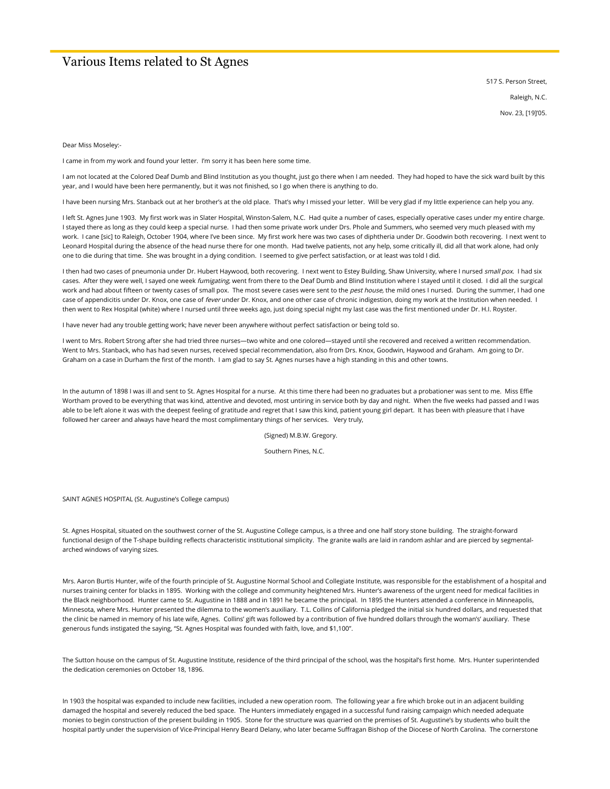## Various Items related to St Agnes

517 S. Person Street, Raleigh, N.C.

Nov. 23, [19]'05.

Dear Miss Moseley:-

I came in from my work and found your letter. I'm sorry it has been here some time.

I am not located at the Colored Deaf Dumb and Blind Institution as you thought, just go there when I am needed. They had hoped to have the sick ward built by this year, and I would have been here permanently, but it was not finished, so I go when there is anything to do.

I have been nursing Mrs. Stanback out at her brother's at the old place. That's why I missed your letter. Will be very glad if my little experience can help you any.

I left St. Agnes June 1903. My first work was in Slater Hospital, Winston-Salem, N.C. Had quite a number of cases, especially operative cases under my entire charge. I stayed there as long as they could keep a special nurse. I had then some private work under Drs. Phole and Summers, who seemed very much pleased with my work. I cane [sic] to Raleigh, October 1904, where I've been since. My first work here was two cases of diphtheria under Dr. Goodwin both recovering. I next went to Leonard Hospital during the absence of the head nurse there for one month. Had twelve patients, not any help, some critically ill, did all that work alone, had only one to die during that time. She was brought in a dying condition. I seemed to give perfect satisfaction, or at least was told I did.

I then had two cases of pneumonia under Dr. Hubert Haywood, both recovering. I next went to Estey Building, Shaw University, where I nursed small pox. I had six cases. After they were well, I sayed one week fumigating, went from there to the Deaf Dumb and Blind Institution where I stayed until it closed. I did all the surgical work and had about fifteen or twenty cases of small pox. The most severe cases were sent to the pest house, the mild ones I nursed. During the summer, I had one case of appendicitis under Dr. Knox, one case of fever under Dr. Knox, and one other case of chronic indigestion, doing my work at the Institution when needed. I then went to Rex Hospital (white) where I nursed until three weeks ago, just doing special night my last case was the first mentioned under Dr. H.I. Royster.

I have never had any trouble getting work; have never been anywhere without perfect satisfaction or being told so.

I went to Mrs. Robert Strong after she had tried three nurses—two white and one colored—stayed until she recovered and received a written recommendation. Went to Mrs. Stanback, who has had seven nurses, received special recommendation, also from Drs. Knox, Goodwin, Haywood and Graham. Am going to Dr. Graham on a case in Durham the first of the month. I am glad to say St. Agnes nurses have a high standing in this and other towns.

In the autumn of 1898 I was ill and sent to St. Agnes Hospital for a nurse. At this time there had been no graduates but a probationer was sent to me. Miss Effie Wortham proved to be everything that was kind, attentive and devoted, most untiring in service both by day and night. When the five weeks had passed and I was able to be left alone it was with the deepest feeling of gratitude and regret that I saw this kind, patient young girl depart. It has been with pleasure that I have followed her career and always have heard the most complimentary things of her services. Very truly,

(Signed) M.B.W. Gregory.

Southern Pines, N.C.

SAINT AGNES HOSPITAL (St. Augustine's College campus)

St. Agnes Hospital, situated on the southwest corner of the St. Augustine College campus, is a three and one half story stone building. The straight-forward functional design of the T-shape building reflects characteristic institutional simplicity. The granite walls are laid in random ashlar and are pierced by segmentalarched windows of varying sizes.

Mrs. Aaron Burtis Hunter, wife of the fourth principle of St. Augustine Normal School and Collegiate Institute, was responsible for the establishment of a hospital and nurses training center for blacks in 1895. Working with the college and community heightened Mrs. Hunter's awareness of the urgent need for medical facilities in the Black neighborhood. Hunter came to St. Augustine in 1888 and in 1891 he became the principal. In 1895 the Hunters attended a conference in Minneapolis, Minnesota, where Mrs. Hunter presented the dilemma to the women's auxiliary. T.L. Collins of California pledged the initial six hundred dollars, and requested that the clinic be named in memory of his late wife, Agnes. Collins' gift was followed by a contribution of five hundred dollars through the woman's' auxiliary. These generous funds instigated the saying, "St. Agnes Hospital was founded with faith, love, and \$1,100".

The Sutton house on the campus of St. Augustine Institute, residence of the third principal of the school, was the hospital's first home. Mrs. Hunter superintended the dedication ceremonies on October 18, 1896.

In 1903 the hospital was expanded to include new facilities, included a new operation room. The following year a fire which broke out in an adjacent building damaged the hospital and severely reduced the bed space. The Hunters immediately engaged in a successful fund raising campaign which needed adequate monies to begin construction of the present building in 1905. Stone for the structure was quarried on the premises of St. Augustine's by students who built the hospital partly under the supervision of Vice-Principal Henry Beard Delany, who later became Suffragan Bishop of the Diocese of North Carolina. The cornerstone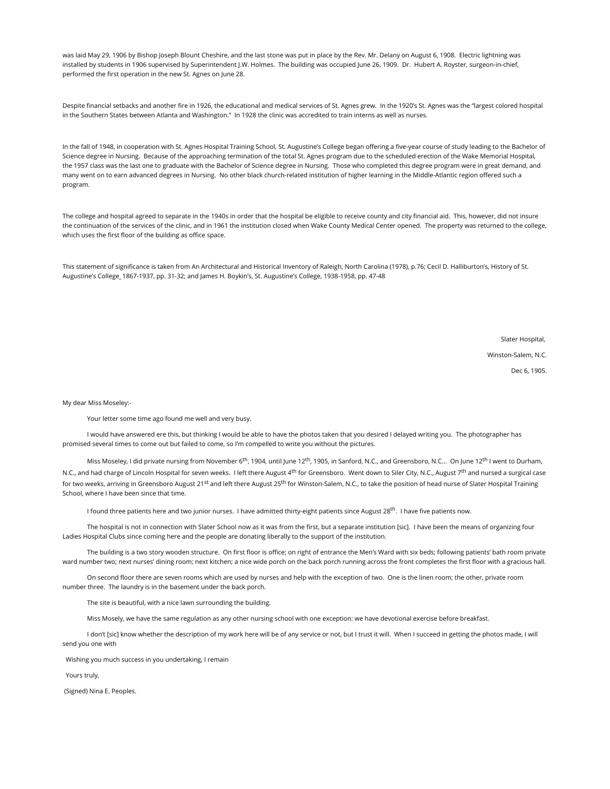was laid May 29, 1906 by Bishop Joseph Blount Cheshire, and the last stone was put in place by the Rev. Mr. Delany on August 6, 1908. Electric lightning was installed by students in 1906 supervised by Superintendent J.W. Holmes. The building was occupied June 26, 1909. Dr. Hubert A. Royster, surgeon-in-chief, performed the first operation in the new St. Agnes on June 28.

Despite financial setbacks and another fire in 1926, the educational and medical services of St. Agnes grew. In the 1920's St. Agnes was the "largest colored hospital in the Southern States between Atlanta and Washington." In 1928 the clinic was accredited to train interns as well as nurses.

In the fall of 1948, in cooperation with St. Agnes Hospital Training School, St. Augustine's College began offering a five-year course of study leading to the Bachelor of Science degree in Nursing. Because of the approaching termination of the total St. Agnes program due to the scheduled erection of the Wake Memorial Hospital, the 1957 class was the last one to graduate with the Bachelor of Science degree in Nursing. Those who completed this degree program were in great demand, and many went on to earn advanced degrees in Nursing. No other black church-related institution of higher learning in the Middle-Atlantic region offered such a program.

The college and hospital agreed to separate in the 1940s in order that the hospital be eligible to receive county and city financial aid. This, however, did not insure the continuation of the services of the clinic, and in 1961 the institution closed when Wake County Medical Center opened. The property was returned to the college, which uses the first floor of the building as office space.

This statement of significance is taken from An Architectural and Historical Inventory of Raleigh, North Carolina (1978), p.76; Cecil D. Halliburton's, History of St. Augustine's College¸ 1867-1937, pp. 31-32; and James H. Boykin's, St. Augustine's College, 1938-1958, pp. 47-48

Slater Hospital,

Winston-Salem, N.C.

Dec 6, 1905.

My dear Miss Moseley:-

Your letter some time ago found me well and very busy.

 I would have answered ere this, but thinking I would be able to have the photos taken that you desired I delayed writing you. The photographer has promised several times to come out but failed to come, so I'm compelled to write you without the pictures.

Miss Moseley, I did private nursing from November 6<sup>th</sup>, 1904, until June 12<sup>th</sup>, 1905, in Sanford, N.C., and Greensboro, N.C... On June 12<sup>th</sup> I went to Durham, N.C., and had charge of Lincoln Hospital for seven weeks. I left there August 4<sup>th</sup> for Greensboro. Went down to Siler City, N.C., August 7<sup>th</sup> and nursed a surgical case for two weeks, arriving in Greensboro August 21<sup>st</sup> and left there August 25<sup>th</sup> for Winston-Salem, N.C., to take the position of head nurse of Slater Hospital Training School, where I have been since that time.

I found three patients here and two junior nurses. I have admitted thirty-eight patients since August 28<sup>th</sup>. I have five patients now.

 The hospital is not in connection with Slater School now as it was from the first, but a separate institution [sic]. I have been the means of organizing four Ladies Hospital Clubs since coming here and the people are donating liberally to the support of the institution.

 The building is a two story wooden structure. On first floor is office; on right of entrance the Men's Ward with six beds; following patients' bath room private ward number two; next nurses' dining room; next kitchen; a nice wide porch on the back porch running across the front completes the first floor with a gracious hall.

 On second floor there are seven rooms which are used by nurses and help with the exception of two. One is the linen room; the other, private room number three. The laundry is in the basement under the back porch.

The site is beautiful, with a nice lawn surrounding the building.

Miss Mosely, we have the same regulation as any other nursing school with one exception: we have devotional exercise before breakfast.

I don't [sic] know whether the description of my work here will be of any service or not, but I trust it will. When I succeed in getting the photos made, I will send you one with

Wishing you much success in you undertaking, I remain

Yours truly,

(Signed) Nina E. Peoples.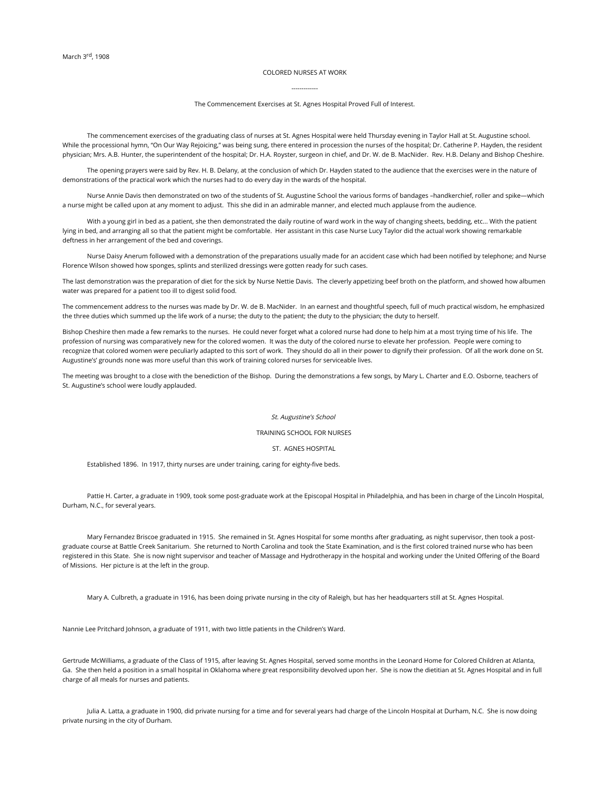## COLORED NURSES AT WORK

## ------------- The Commencement Exercises at St. Agnes Hospital Proved Full of Interest.

 The commencement exercises of the graduating class of nurses at St. Agnes Hospital were held Thursday evening in Taylor Hall at St. Augustine school. While the processional hymn, "On Our Way Rejoicing," was being sung, there entered in procession the nurses of the hospital; Dr. Catherine P. Hayden, the resident physician; Mrs. A.B. Hunter, the superintendent of the hospital; Dr. H.A. Royster, surgeon in chief, and Dr. W. de B. MacNider. Rev. H.B. Delany and Bishop Cheshire.

 The opening prayers were said by Rev. H. B. Delany, at the conclusion of which Dr. Hayden stated to the audience that the exercises were in the nature of demonstrations of the practical work which the nurses had to do every day in the wards of the hospital.

 Nurse Annie Davis then demonstrated on two of the students of St. Augustine School the various forms of bandages –handkerchief, roller and spike—which a nurse might be called upon at any moment to adjust. This she did in an admirable manner, and elected much applause from the audience.

With a young girl in bed as a patient, she then demonstrated the daily routine of ward work in the way of changing sheets, bedding, etc... With the patient lying in bed, and arranging all so that the patient might be comfortable. Her assistant in this case Nurse Lucy Taylor did the actual work showing remarkable deftness in her arrangement of the bed and coverings.

 Nurse Daisy Anerum followed with a demonstration of the preparations usually made for an accident case which had been notified by telephone; and Nurse Florence Wilson showed how sponges, splints and sterilized dressings were gotten ready for such cases.

The last demonstration was the preparation of diet for the sick by Nurse Nettie Davis. The cleverly appetizing beef broth on the platform, and showed how albumen water was prepared for a patient too ill to digest solid food.

The commencement address to the nurses was made by Dr. W. de B. MacNider. In an earnest and thoughtful speech, full of much practical wisdom, he emphasized the three duties which summed up the life work of a nurse; the duty to the patient; the duty to the physician; the duty to herself.

Bishop Cheshire then made a few remarks to the nurses. He could never forget what a colored nurse had done to help him at a most trying time of his life. The profession of nursing was comparatively new for the colored women. It was the duty of the colored nurse to elevate her profession. People were coming to recognize that colored women were peculiarly adapted to this sort of work. They should do all in their power to dignify their profession. Of all the work done on St. Augustine's' grounds none was more useful than this work of training colored nurses for serviceable lives.

The meeting was brought to a close with the benediction of the Bishop. During the demonstrations a few songs, by Mary L. Charter and E.O. Osborne, teachers of St. Augustine's school were loudly applauded.

## St. Augustine's School

TRAINING SCHOOL FOR NURSES

ST. AGNES HOSPITAL

Established 1896. In 1917, thirty nurses are under training, caring for eighty-five beds.

 Pattie H. Carter, a graduate in 1909, took some post-graduate work at the Episcopal Hospital in Philadelphia, and has been in charge of the Lincoln Hospital, Durham, N.C., for several years.

 Mary Fernandez Briscoe graduated in 1915. She remained in St. Agnes Hospital for some months after graduating, as night supervisor, then took a postgraduate course at Battle Creek Sanitarium. She returned to North Carolina and took the State Examination, and is the first colored trained nurse who has been registered in this State. She is now night supervisor and teacher of Massage and Hydrotherapy in the hospital and working under the United Offering of the Board of Missions. Her picture is at the left in the group.

Mary A. Culbreth, a graduate in 1916, has been doing private nursing in the city of Raleigh, but has her headquarters still at St. Agnes Hospital.

Nannie Lee Pritchard Johnson, a graduate of 1911, with two little patients in the Children's Ward.

Gertrude McWilliams, a graduate of the Class of 1915, after leaving St. Agnes Hospital, served some months in the Leonard Home for Colored Children at Atlanta, Ga. She then held a position in a small hospital in Oklahoma where great responsibility devolved upon her. She is now the dietitian at St. Agnes Hospital and in full charge of all meals for nurses and patients.

 Julia A. Latta, a graduate in 1900, did private nursing for a time and for several years had charge of the Lincoln Hospital at Durham, N.C. She is now doing private nursing in the city of Durham.